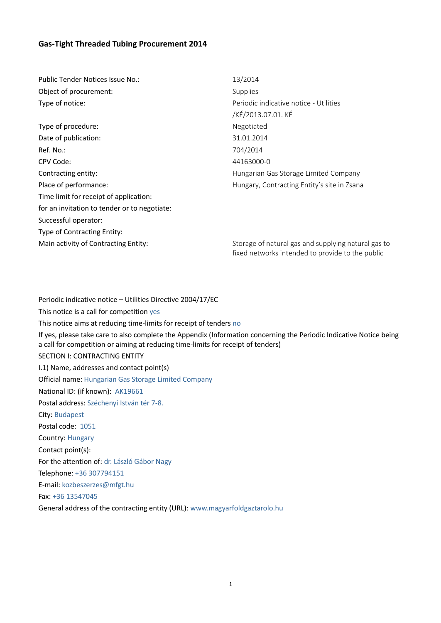# **Gas-Tight Threaded Tubing Procurement 2014**

Public Tender Notices Issue No.: 13/2014 Object of procurement: Supplies Type of notice:  $\blacksquare$ /KÉ/2013.07.01. KÉ Type of procedure: Negotiated Date of publication: 31.01.2014 Ref. No.: 704/2014 CPV Code: 44163000-0 Contracting entity: Hungarian Gas Storage Limited Company Place of performance: The example of performance: Hungary, Contracting Entity's site in Zsana Time limit for receipt of application: for an invitation to tender or to negotiate: Successful operator: Type of Contracting Entity: Main activity of Contracting Entity: Storage of natural gas and supplying natural gas to

Periodic indicative notice – Utilities Directive 2004/17/EC This notice is a call for competition yes This notice aims at reducing time-limits for receipt of tenders no If yes, please take care to also complete the Appendix (Information concerning the Periodic Indicative Notice being a call for competition or aiming at reducing time-limits for receipt of tenders) SECTION I: CONTRACTING ENTITY I.1) Name, addresses and contact point(s) Official name: Hungarian Gas Storage Limited Company National ID: (if known): AK19661 Postal address: Széchenyi István tér 7-8. City: Budapest Postal code: 1051 Country: Hungary Contact point(s): For the attention of: dr. László Gábor Nagy Telephone: +36 307794151 E-mail: [kozbeszerzes@mfgt.hu](mailto:kozbeszerzes@mfgt.hu) Fax: +36 13547045 General address of the contracting entity (URL): [www.magyarfoldgaztarolo.hu](http://www.magyarfoldgaztarolo.hu/)

fixed networks intended to provide to the public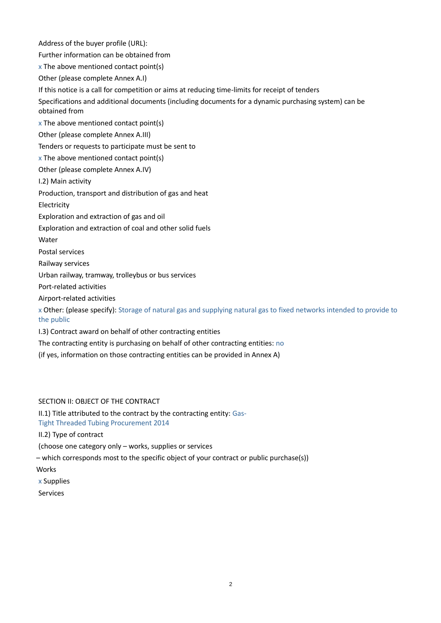Address of the buyer profile (URL): Further information can be obtained from  $x$  The above mentioned contact point(s) Other (please complete Annex A.I) If this notice is a call for competition or aims at reducing time-limits for receipt of tenders Specifications and additional documents (including documents for a dynamic purchasing system) can be obtained from  $x$  The above mentioned contact point(s) Other (please complete Annex A.III) Tenders or requests to participate must be sent to  $x$  The above mentioned contact point(s) Other (please complete Annex A.IV) I.2) Main activity Production, transport and distribution of gas and heat Electricity Exploration and extraction of gas and oil Exploration and extraction of coal and other solid fuels Water Postal services Railway services Urban railway, tramway, trolleybus or bus services Port-related activities Airport-related activities x Other: (please specify): Storage of natural gas and supplying natural gas to fixed networks intended to provide to the public I.3) Contract award on behalf of other contracting entities The contracting entity is purchasing on behalf of other contracting entities: no (if yes, information on those contracting entities can be provided in Annex A)

# SECTION II: OBJECT OF THE CONTRACT

II.1) Title attributed to the contract by the contracting entity: Gas-Tight Threaded Tubing Procurement 2014

II.2) Type of contract

(choose one category only – works, supplies or services

– which corresponds most to the specific object of your contract or public purchase(s))

**Works** 

- x Supplies
- Services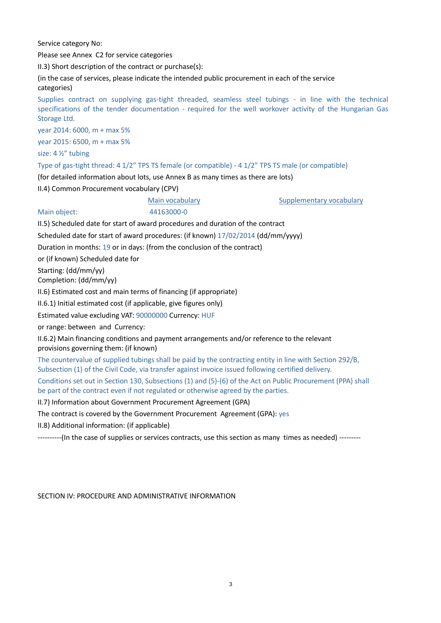Service category No:

Please see Annex C2 for service categories

II.3) Short description of the contract or purchase(s):

(in the case of services, please indicate the intended public procurement in each of the service categories)

Supplies contract on supplying gas-tight threaded, seamless steel tubings - in line with the technical specifications of the tender documentation - required for the well workover activity of the Hungarian Gas Storage Ltd.

year 2014: 6000, m + max 5%

year 2015: 6500, m + max 5%

size: 4 ½" tubing

Type of gas-tight thread: 4 1/2" TPS TS female (or compatible) - 4 1/2" TPS TS male (or compatible)

(for detailed information about lots, use Annex B as many times as there are lots)

II.4) Common Procurement vocabulary (CPV)

Main vocabulary **Supplementary vocabulary** Supplementary vocabulary

Main object: 44163000-0

II.5) Scheduled date for start of award procedures and duration of the contract

Scheduled date for start of award procedures: (if known) 17/02/2014 (dd/mm/yyyy)

Duration in months: 19 or in days: (from the conclusion of the contract)

or (if known) Scheduled date for

Starting: (dd/mm/yy) Completion: (dd/mm/yy)

II.6) Estimated cost and main terms of financing (if appropriate)

II.6.1) Initial estimated cost (if applicable, give figures only)

Estimated value excluding VAT: 90000000 Currency: HUF

or range: between and Currency:

II.6.2) Main financing conditions and payment arrangements and/or reference to the relevant provisions governing them: (if known)

The countervalue of supplied tubings shall be paid by the contracting entity in line with Section 292/B, Subsection (1) of the Civil Code, via transfer against invoice issued following certified delivery.

Conditions set out in Section 130, Subsections (1) and (5)-(6) of the Act on Public Procurement (PPA) shall be part of the contract even if not regulated or otherwise agreed by the parties.

II.7) Information about Government Procurement Agreement (GPA)

The contract is covered by the Government Procurement Agreement (GPA): yes

II.8) Additional information: (if applicable)

----------(In the case of supplies or services contracts, use this section as many times as needed) ---------

SECTION IV: PROCEDURE AND ADMINISTRATIVE INFORMATION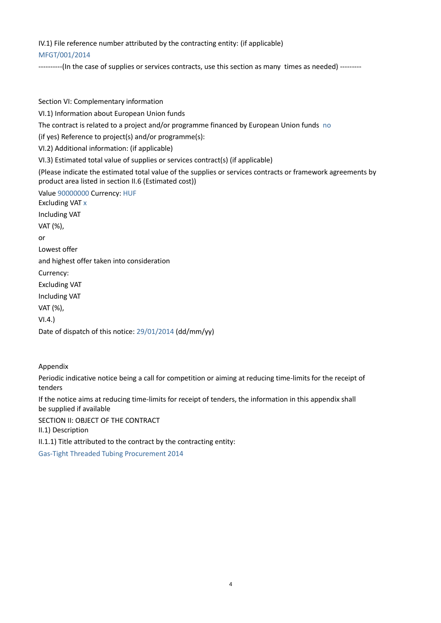# IV.1) File reference number attributed by the contracting entity: (if applicable)

# MFGT/001/2014

----------(In the case of supplies or services contracts, use this section as many times as needed) ---------

Section VI: Complementary information VI.1) Information about European Union funds The contract is related to a project and/or programme financed by European Union funds no (if yes) Reference to project(s) and/or programme(s): VI.2) Additional information: (if applicable) VI.3) Estimated total value of supplies or services contract(s) (if applicable) (Please indicate the estimated total value of the supplies or services contracts or framework agreements by product area listed in section II.6 (Estimated cost)) Value 90000000 Currency: HUF Excluding VAT x Including VAT VAT (%), or Lowest offer and highest offer taken into consideration Currency: Excluding VAT Including VAT VAT (%), VI.4.) Date of dispatch of this notice: 29/01/2014 (dd/mm/yy)

Appendix

Periodic indicative notice being a call for competition or aiming at reducing time-limits for the receipt of tenders

If the notice aims at reducing time-limits for receipt of tenders, the information in this appendix shall be supplied if available

SECTION II: OBJECT OF THE CONTRACT

II.1) Description

II.1.1) Title attributed to the contract by the contracting entity:

Gas-Tight Threaded Tubing Procurement 2014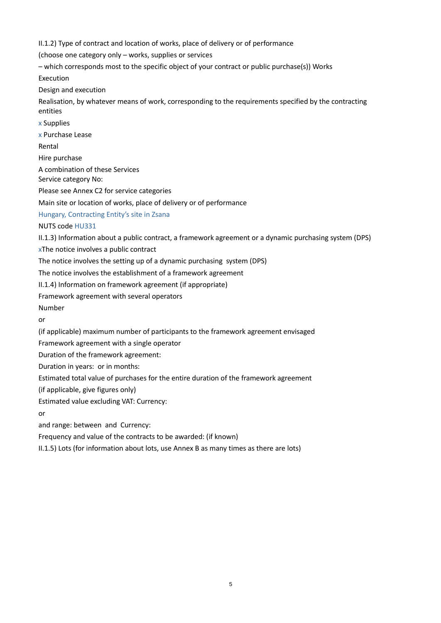II.1.2) Type of contract and location of works, place of delivery or of performance

(choose one category only – works, supplies or services

– which corresponds most to the specific object of your contract or public purchase(s)) Works

Execution

Design and execution

Realisation, by whatever means of work, corresponding to the requirements specified by the contracting entities

x Supplies

x Purchase Lease

Rental

Hire purchase

A combination of these Services Service category No:

Please see Annex C2 for service categories

Main site or location of works, place of delivery or of performance

Hungary, Contracting Entity's site in Zsana

NUTS code HU331

II.1.3) Information about a public contract, a framework agreement or a dynamic purchasing system (DPS)

xThe notice involves a public contract

The notice involves the setting up of a dynamic purchasing system (DPS)

The notice involves the establishment of a framework agreement

II.1.4) Information on framework agreement (if appropriate)

Framework agreement with several operators

Number

or

(if applicable) maximum number of participants to the framework agreement envisaged

Framework agreement with a single operator

Duration of the framework agreement:

Duration in years: or in months:

Estimated total value of purchases for the entire duration of the framework agreement

(if applicable, give figures only)

Estimated value excluding VAT: Currency:

or

and range: between and Currency:

Frequency and value of the contracts to be awarded: (if known)

II.1.5) Lots (for information about lots, use Annex B as many times as there are lots)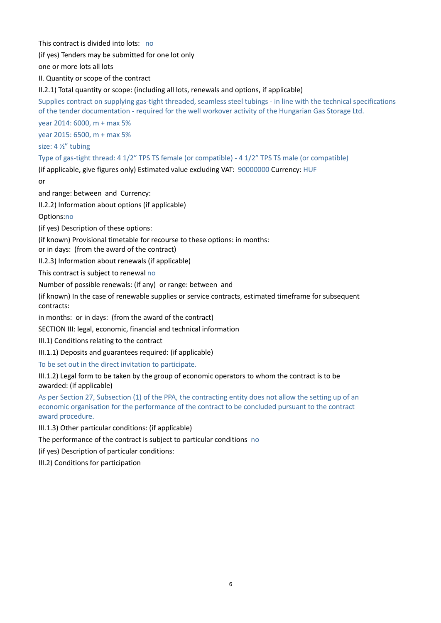This contract is divided into lots: no

(if yes) Tenders may be submitted for one lot only

one or more lots all lots

II. Quantity or scope of the contract

II.2.1) Total quantity or scope: (including all lots, renewals and options, if applicable)

Supplies contract on supplying gas-tight threaded, seamless steel tubings - in line with the technical specifications of the tender documentation - required for the well workover activity of the Hungarian Gas Storage Ltd.

year 2014: 6000, m + max 5%

year 2015: 6500, m + max 5%

size: 4 ½" tubing

Type of gas-tight thread: 4 1/2" TPS TS female (or compatible) - 4 1/2" TPS TS male (or compatible)

(if applicable, give figures only) Estimated value excluding VAT: 90000000 Currency: HUF

or

and range: between and Currency:

II.2.2) Information about options (if applicable)

Options:no

(if yes) Description of these options:

(if known) Provisional timetable for recourse to these options: in months:

or in days: (from the award of the contract)

II.2.3) Information about renewals (if applicable)

This contract is subject to renewal no

Number of possible renewals: (if any) or range: between and

(if known) In the case of renewable supplies or service contracts, estimated timeframe for subsequent contracts:

in months: or in days: (from the award of the contract)

SECTION III: legal, economic, financial and technical information

III.1) Conditions relating to the contract

III.1.1) Deposits and guarantees required: (if applicable)

To be set out in the direct invitation to participate.

III.1.2) Legal form to be taken by the group of economic operators to whom the contract is to be awarded: (if applicable)

As per Section 27, Subsection (1) of the PPA, the contracting entity does not allow the setting up of an economic organisation for the performance of the contract to be concluded pursuant to the contract award procedure.

III.1.3) Other particular conditions: (if applicable)

The performance of the contract is subject to particular conditions no

(if yes) Description of particular conditions:

III.2) Conditions for participation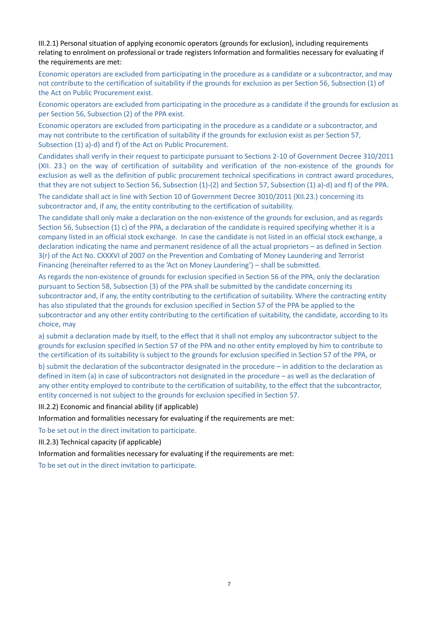III.2.1) Personal situation of applying economic operators (grounds for exclusion), including requirements relating to enrolment on professional or trade registers Information and formalities necessary for evaluating if the requirements are met:

Economic operators are excluded from participating in the procedure as a candidate or a subcontractor, and may not contribute to the certification of suitability if the grounds for exclusion as per Section 56, Subsection (1) of the Act on Public Procurement exist.

Economic operators are excluded from participating in the procedure as a candidate if the grounds for exclusion as per Section 56, Subsection (2) of the PPA exist.

Economic operators are excluded from participating in the procedure as a candidate or a subcontractor, and may not contribute to the certification of suitability if the grounds for exclusion exist as per Section 57, Subsection (1) a)-d) and f) of the Act on Public Procurement.

Candidates shall verify in their request to participate pursuant to Sections 2-10 of Government Decree 310/2011 (XII. 23.) on the way of certification of suitability and verification of the non-existence of the grounds for exclusion as well as the definition of public procurement technical specifications in contract award procedures, that they are not subject to Section 56, Subsection (1)-(2) and Section 57, Subsection (1) a)-d) and f) of the PPA.

The candidate shall act in line with Section 10 of Government Decree 3010/2011 (XII.23.) concerning its subcontractor and, if any, the entity contributing to the certification of suitability.

The candidate shall only make a declaration on the non-existence of the grounds for exclusion, and as regards Section 56, Subsection (1) c) of the PPA, a declaration of the candidate is required specifying whether it is a company listed in an official stock exchange. In case the candidate is not listed in an official stock exchange, a declaration indicating the name and permanent residence of all the actual proprietors – as defined in Section 3(r) of the Act No. CXXXVI of 2007 on the Prevention and Combating of Money Laundering and Terrorist Financing (hereinafter referred to as the 'Act on Money Laundering') – shall be submitted.

As regards the non-existence of grounds for exclusion specified in Section 56 of the PPA, only the declaration pursuant to Section 58, Subsection (3) of the PPA shall be submitted by the candidate concerning its subcontractor and, if any, the entity contributing to the certification of suitability. Where the contracting entity has also stipulated that the grounds for exclusion specified in Section 57 of the PPA be applied to the subcontractor and any other entity contributing to the certification of suitability, the candidate, according to its choice, may

a) submit a declaration made by itself, to the effect that it shall not employ any subcontractor subject to the grounds for exclusion specified in Section 57 of the PPA and no other entity employed by him to contribute to the certification of its suitability is subject to the grounds for exclusion specified in Section 57 of the PPA, or

b) submit the declaration of the subcontractor designated in the procedure – in addition to the declaration as defined in item (a) in case of subcontractors not designated in the procedure – as well as the declaration of any other entity employed to contribute to the certification of suitability, to the effect that the subcontractor, entity concerned is not subject to the grounds for exclusion specified in Section 57.

III.2.2) Economic and financial ability (if applicable)

Information and formalities necessary for evaluating if the requirements are met:

To be set out in the direct invitation to participate.

III.2.3) Technical capacity (if applicable)

Information and formalities necessary for evaluating if the requirements are met:

To be set out in the direct invitation to participate.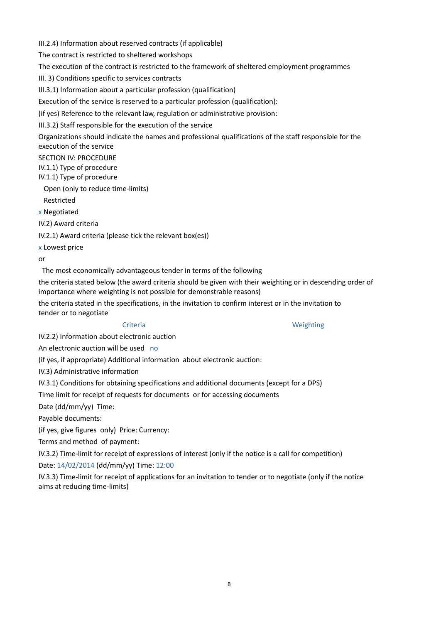III.2.4) Information about reserved contracts (if applicable) The contract is restricted to sheltered workshops The execution of the contract is restricted to the framework of sheltered employment programmes III. 3) Conditions specific to services contracts III.3.1) Information about a particular profession (qualification) Execution of the service is reserved to a particular profession (qualification): (if yes) Reference to the relevant law, regulation or administrative provision: III.3.2) Staff responsible for the execution of the service Organizations should indicate the names and professional qualifications of the staff responsible for the execution of the service SECTION IV: PROCEDURE IV.1.1) Type of procedure IV.1.1) Type of procedure Open (only to reduce time-limits) Restricted x Negotiated IV.2) Award criteria IV.2.1) Award criteria (please tick the relevant box(es)) x Lowest price or The most economically advantageous tender in terms of the following

the criteria stated below (the award criteria should be given with their weighting or in descending order of importance where weighting is not possible for demonstrable reasons)

the criteria stated in the specifications, in the invitation to confirm interest or in the invitation to tender or to negotiate

Criteria Weighting

IV.2.2) Information about electronic auction

An electronic auction will be used no

(if yes, if appropriate) Additional information about electronic auction:

IV.3) Administrative information

IV.3.1) Conditions for obtaining specifications and additional documents (except for a DPS)

Time limit for receipt of requests for documents or for accessing documents

Date (dd/mm/yy) Time:

Payable documents:

(if yes, give figures only) Price: Currency:

Terms and method of payment:

IV.3.2) Time-limit for receipt of expressions of interest (only if the notice is a call for competition)

Date: 14/02/2014 (dd/mm/yy) Time: 12:00

IV.3.3) Time-limit for receipt of applications for an invitation to tender or to negotiate (only if the notice aims at reducing time-limits)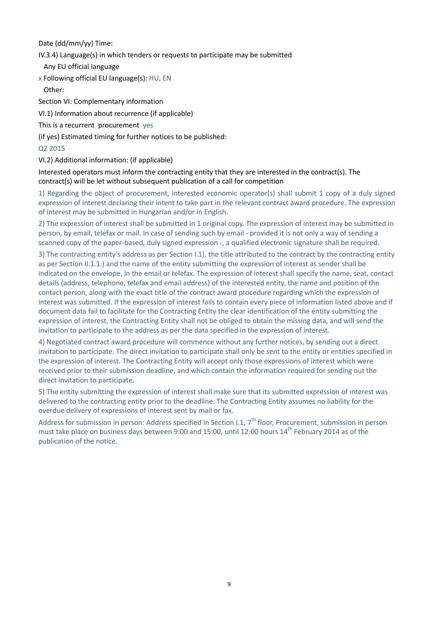Date (dd/mm/yy) Time:

IV.3.4) Language(s) in which tenders or requests to participate may be submitted

Any EU official language

x Following official EU language(s): HU, EN Other:

Section VI: Complementary information

VI.1) Information about recurrence (if applicable)

This is a recurrent procurement yes

(if yes) Estimated timing for further notices to be published:

# Q2 2015

VI.2) Additional information: (if applicable)

Interested operators must inform the contracting entity that they are interested in the contract(s). The contract(s) will be let without subsequent publication of a call for competition

1) Regarding the object of procurement, interested economic operator(s) shall submit 1 copy of a duly signed expression of interest declaring their intent to take part in the relevant contract award procedure. The expression of interest may be submitted in Hungarian and/or in English.

2) The expression of interest shall be submitted in 1 original copy. The expression of interest may be submitted in person, by email, telefax or mail. In case of sending such by email - provided it is not only a way of sending a scanned copy of the paper-based, duly signed expression -, a qualified electronic signature shall be required.

3) The contracting entity's address as per Section I.1), the title attributed to the contract by the contracting entity as per Section II.1.1.) and the name of the entity submitting the expression of interest as sender shall be indicated on the envelope, in the email or telefax. The expression of interest shall specify the name, seat, contact details (address, telephone, telefax and email address) of the interested entity, the name and position of the contact person, along with the exact title of the contract award procedure regarding which the expression of interest was submitted. If the expression of interest fails to contain every piece of information listed above and if document data fail to facilitate for the Contracting Entity the clear identification of the entity submitting the expression of interest, the Contracting Entity shall not be obliged to obtain the missing data, and will send the invitation to participate to the address as per the data specified in the expression of interest.

4) Negotiated contract award procedure will commence without any further notices, by sending out a direct invitation to participate. The direct invitation to participate shall only be sent to the entity or entities specified in the expression of interest. The Contracting Entity will accept only those expressions of interest which were received prior to their submission deadline, and which contain the information required for sending out the direct invitation to participate.

5) The entity submitting the expression of interest shall make sure that its submitted expression of interest was delivered to the contracting entity prior to the deadline. The Contracting Entity assumes no liability for the overdue delivery of expressions of interest sent by mail or fax.

Address for submission in person: Address specified in Section I.1, 7<sup>th</sup> floor, Procurement, submission in person must take place on business days between 9:00 and 15:00, until 12:00 hours 14<sup>th</sup> February 2014 as of the publication of the notice.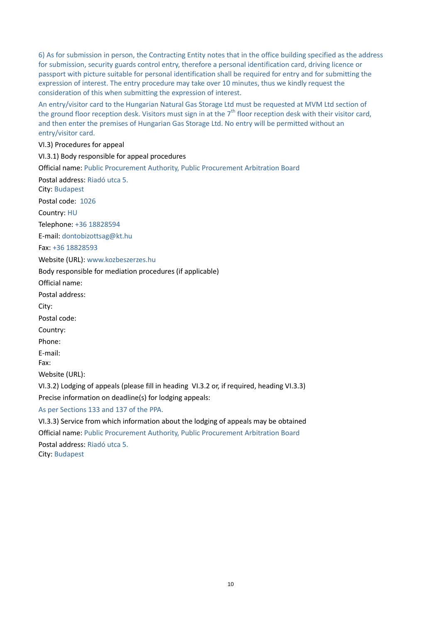6) As for submission in person, the Contracting Entity notes that in the office building specified as the address for submission, security guards control entry, therefore a personal identification card, driving licence or passport with picture suitable for personal identification shall be required for entry and for submitting the expression of interest. The entry procedure may take over 10 minutes, thus we kindly request the consideration of this when submitting the expression of interest.

An entry/visitor card to the Hungarian Natural Gas Storage Ltd must be requested at MVM Ltd section of the ground floor reception desk. Visitors must sign in at the  $7<sup>th</sup>$  floor reception desk with their visitor card, and then enter the premises of Hungarian Gas Storage Ltd. No entry will be permitted without an entry/visitor card.

VI.3) Procedures for appeal

VI.3.1) Body responsible for appeal procedures Official name: Public Procurement Authority, Public Procurement Arbitration Board Postal address: Riadó utca 5. City: Budapest Postal code: 1026 Country: HU Telephone: +36 18828594 E-mail: [dontobizottsag@kt.hu](mailto:dontobizottsag@kt.hu) Fax: +36 18828593 Website (URL)[: www.kozbeszerzes.hu](http://www.kozbeszerzes.hu/) Body responsible for mediation procedures (if applicable) Official name: Postal address: City: Postal code: Country: Phone: E-mail: Fax: Website (URL): VI.3.2) Lodging of appeals (please fill in heading VI.3.2 or, if required, heading VI.3.3) Precise information on deadline(s) for lodging appeals: As per Sections 133 and 137 of the PPA. VI.3.3) Service from which information about the lodging of appeals may be obtained Official name: Public Procurement Authority, Public Procurement Arbitration Board Postal address: Riadó utca 5.

City: Budapest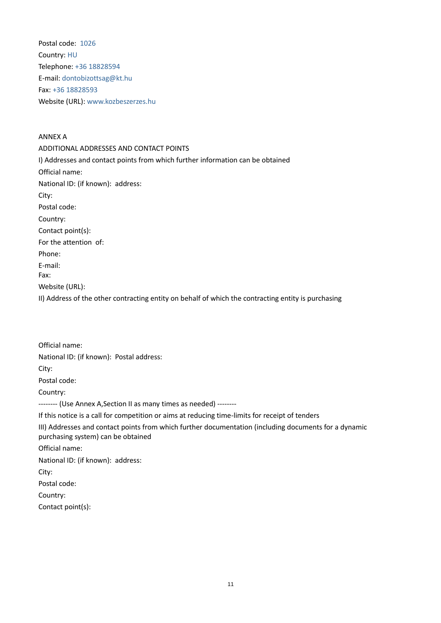Postal code: 1026 Country: HU Telephone: +36 18828594 E-mail: [dontobizottsag@kt.hu](mailto:dontobizottsag@kt.hu) Fax: +36 18828593 Website (URL)[: www.kozbeszerzes.hu](http://www.kozbeszerzes.hu/)

ANNEX A ADDITIONAL ADDRESSES AND CONTACT POINTS I) Addresses and contact points from which further information can be obtained Official name: National ID: (if known): address: City: Postal code: Country: Contact point(s): For the attention of: Phone: E-mail: Fax: Website (URL): II) Address of the other contracting entity on behalf of which the contracting entity is purchasing

Official name: National ID: (if known): Postal address: City: Postal code: Country: -------- (Use Annex A,Section II as many times as needed) -------- If this notice is a call for competition or aims at reducing time-limits for receipt of tenders III) Addresses and contact points from which further documentation (including documents for a dynamic purchasing system) can be obtained Official name: National ID: (if known): address: City: Postal code: Country: Contact point(s):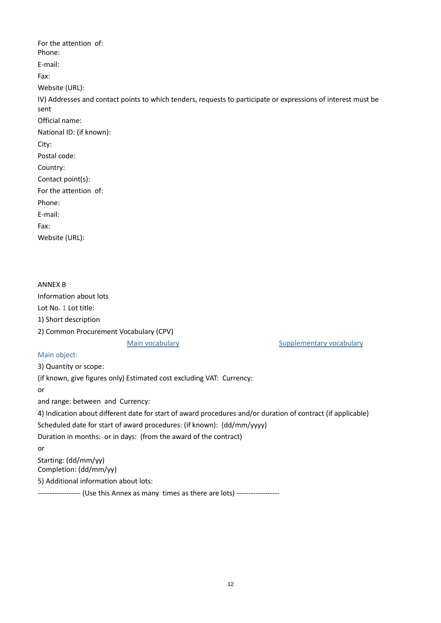For the attention of: Phone: E-mail: Fax: Website (URL): IV) Addresses and contact points to which tenders, requests to participate or expressions of interest must be sent Official name: National ID: (if known): City: Postal code: Country: Contact point(s): For the attention of: Phone: E-mail: Fax: Website (URL):

ANNEX B Information about lots Lot No. 1 Lot title: 1) Short description 2) Common Procurement Vocabulary (CPV) Main vocabulary **Supplementary vocabulary Supplementary vocabulary** Main object: 3) Quantity or scope:

(if known, give figures only) Estimated cost excluding VAT: Currency:

or

and range: between and Currency:

4) Indication about different date for start of award procedures and/or duration of contract (if applicable)

Scheduled date for start of award procedures: (if known): (dd/mm/yyyy)

Duration in months: or in days: (from the award of the contract)

or

Starting: (dd/mm/yy) Completion: (dd/mm/yy)

5) Additional information about lots:

------------------ (Use this Annex as many times as there are lots) ------------------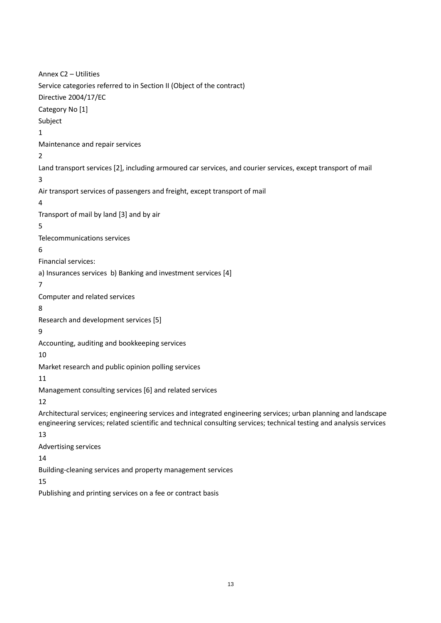Annex C2 – Utilities Service categories referred to in Section II (Object of the contract) Directive 2004/17/EC Category No [1] Subject 1 Maintenance and repair services 2 Land transport services [2], including armoured car services, and courier services, except transport of mail 3 Air transport services of passengers and freight, except transport of mail 4 Transport of mail by land [3] and by air 5 Telecommunications services 6 Financial services: a) Insurances services b) Banking and investment services [4] 7 Computer and related services 8 Research and development services [5] 9 Accounting, auditing and bookkeeping services 10 Market research and public opinion polling services 11 Management consulting services [6] and related services 12 Architectural services; engineering services and integrated engineering services; urban planning and landscape engineering services; related scientific and technical consulting services; technical testing and analysis services 13 Advertising services 14 Building-cleaning services and property management services 15

Publishing and printing services on a fee or contract basis